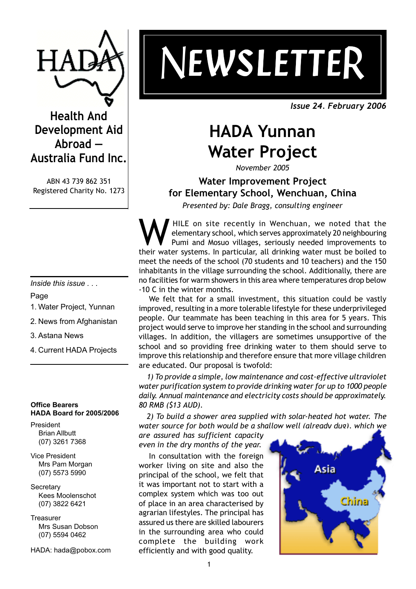

**Health And Development Aid Abroad — Australia Fund Inc.**

ABN 43 739 862 351 Registered Charity No. 1273

*Inside this issue . . .*

Page

- 1. Water Project, Yunnan
- 2. News from Afghanistan
- 3. Astana News
- 4. Current HADA Projects

#### **Office Bearers HADA Board for 2005/2006**

President Brian Allbutt (07) 3261 7368

- Vice President Mrs Pam Morgan (07) 5573 5990
- **Secretary** Kees Moolenschot (07) 3822 6421

**Treasurer** Mrs Susan Dobson (07) 5594 0462

HADA: hada@pobox.com

# *NEWSLETTE EWSLETTE EWSLETTE EWSLETTE EWSLETTER*

*Issue 24. February 2006*

# **HADA Yunnan Water Project**

*November 2005*

# **Water Improvement Project for Elementary School, Wenchuan, China**

*Presented by: Dale Bragg, consulting engineer*

WHILE on site recently in Wenchuan, we noted that the elementary school, which serves approximately 20 neighbouring<br>Pumi and Mosuo villages, seriously needed improvements to<br>their water systems. In particular, all drinking elementary school, which serves approximately 20 neighbouring Pumi and Mosuo villages, seriously needed improvements to their water systems. In particular, all drinking water must be boiled to meet the needs of the school (70 students and 10 teachers) and the 150 inhabitants in the village surrounding the school. Additionally, there are no facilities for warm showers in this area where temperatures drop below -10 C in the winter months.

We felt that for a small investment, this situation could be vastly improved, resulting in a more tolerable lifestyle for these underprivileged people. Our teammate has been teaching in this area for 5 years. This project would serve to improve her standing in the school and surrounding villages. In addition, the villagers are sometimes unsupportive of the school and so providing free drinking water to them should serve to improve this relationship and therefore ensure that more village children are educated. Our proposal is twofold:

1) To provide a simple, low maintenance and cost-effective ultraviolet *water purification system to provide drinking water for up to 1000 people daily. Annual maintenance and electricity costs should be approximately. 80 RMB (\$13 AUD).*

*2) To build a shower area supplied with solar-heated hot water. The water source for both would be a shallow well (already dug), which we*

*are assured has sufficient capacity even in the dry months of the year.*

In consultation with the foreign worker living on site and also the principal of the school, we felt that it was important not to start with a complex system which was too out of place in an area characterised by agrarian lifestyles. The principal has assured us there are skilled labourers in the surrounding area who could complete the building work efficiently and with good quality.

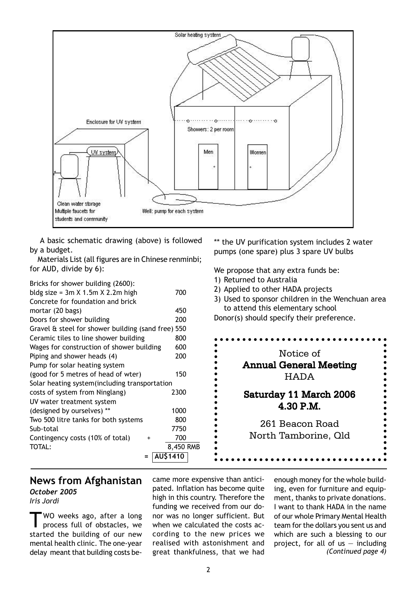

A basic schematic drawing (above) is followed by a budget.

Materials List (all figures are in Chinese renminbi; for AUD, divide by 6):

| Bricks for shower building (2600):                 |           |
|----------------------------------------------------|-----------|
| bldg size = $3m \times 1.5m \times 2.2m$ high      | 700       |
| Concrete for foundation and brick                  |           |
| mortar (20 bags)                                   | 450       |
| Doors for shower building                          | 200       |
| Gravel & steel for shower building (sand free) 550 |           |
| Ceramic tiles to line shower building              | 800       |
| Wages for construction of shower building          | 600       |
| Piping and shower heads (4)                        | 200       |
| Pump for solar heating system                      |           |
| (good for 5 metres of head of wter)                | 150       |
| Solar heating system (including transportation     |           |
| costs of system from Ninglang)                     | 2300      |
| UV water treatment system                          |           |
| (designed by ourselves) **                         | 1000      |
| Two 500 litre tanks for both systems               | 800       |
| Sub-total                                          | 7750      |
| Contingency costs (10% of total)<br>+              | 700       |
| TOTAL:                                             | 8,450 RMB |
| =                                                  | AU\$1410  |

\*\* the UV purification system includes 2 water pumps (one spare) plus 3 spare UV bulbs

We propose that any extra funds be: 1) Returned to Australia

- 
- 2) Applied to other HADA projects
- 3) Used to sponsor children in the Wenchuan area to attend this elementary school

Donor(s) should specify their preference.



#### **News from Afghanistan** *October 2005*

*Iris Jordi*

WO weeks ago, after a long process full of obstacles, we started the building of our new mental health clinic. The one-year delay meant that building costs became more expensive than anticipated. Inflation has become quite high in this country. Therefore the funding we received from our donor was no longer sufficient. But when we calculated the costs according to the new prices we realised with astonishment and great thankfulness, that we had

enough money for the whole building, even for furniture and equipment, thanks to private donations. I want to thank HADA in the name of our whole Primary Mental Health team for the dollars you sent us and which are such a blessing to our project, for all of us  $-$  including *(Continued page 4)*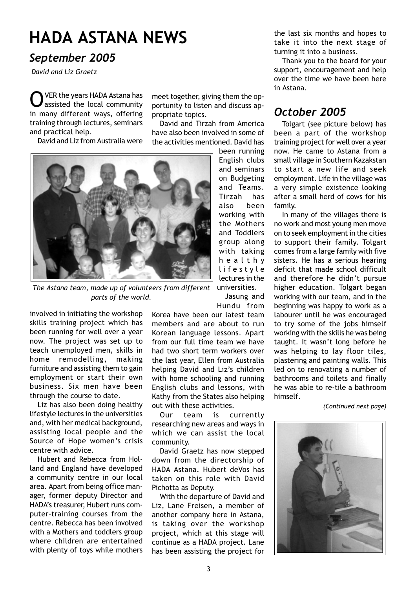# **HADA ASTANA NEWS**

## *September 2005*

 *David and Liz Graetz*

VER the years HADA Astana has assisted the local community in many different ways, offering training through lectures, seminars and practical help.

David and Liz from Australia were

meet together, giving them the opportunity to listen and discuss appropriate topics.

David and Tirzah from America have also been involved in some of the activities mentioned. David has

Tirzah has

Jasung and



*The Astana team, made up of volunteers from different parts of the world.*

involved in initiating the workshop skills training project which has been running for well over a year now. The project was set up to teach unemployed men, skills in home remodelling, making furniture and assisting them to gain employment or start their own business. Six men have been through the course to date.

Liz has also been doing healthy lifestyle lectures in the universities and, with her medical background, assisting local people and the Source of Hope women's crisis centre with advice.

Hubert and Rebecca from Holland and England have developed a community centre in our local area. Apart from being office manager, former deputy Director and HADA's treasurer, Hubert runs computer-training courses from the centre. Rebecca has been involved with a Mothers and toddlers group where children are entertained with plenty of toys while mothers

Hundu from Korea have been our latest team members and are about to run Korean language lessons. Apart from our full time team we have had two short term workers over the last year, Ellen from Australia helping David and Liz's children with home schooling and running English clubs and lessons, with Kathy from the States also helping out with these activities.

Our team is currently researching new areas and ways in which we can assist the local community.

David Graetz has now stepped down from the directorship of HADA Astana. Hubert deVos has taken on this role with David Pichotta as Deputy.

With the departure of David and Liz, Lane Freisen, a member of another company here in Astana, is taking over the workshop project, which at this stage will continue as a HADA project. Lane has been assisting the project for

the last six months and hopes to take it into the next stage of turning it into a business.

Thank you to the board for your support, encouragement and help over the time we have been here in Astana.

## *October 2005*

Tolgart (see picture below) has been a part of the workshop training project for well over a year now. He came to Astana from a small village in Southern Kazakstan to start a new life and seek employment. Life in the village was a very simple existence looking after a small herd of cows for his family.

In many of the villages there is no work and most young men move on to seek employment in the cities to support their family. Tolgart comes from a large family with five sisters. He has a serious hearing deficit that made school difficult and therefore he didn't pursue higher education. Tolgart began working with our team, and in the beginning was happy to work as a labourer until he was encouraged to try some of the jobs himself working with the skills he was being taught. It wasn't long before he was helping to lay floor tiles, plastering and painting walls. This led on to renovating a number of bathrooms and toilets and finally he was able to re-tile a bathroom himself.

 *(Continued next page)*